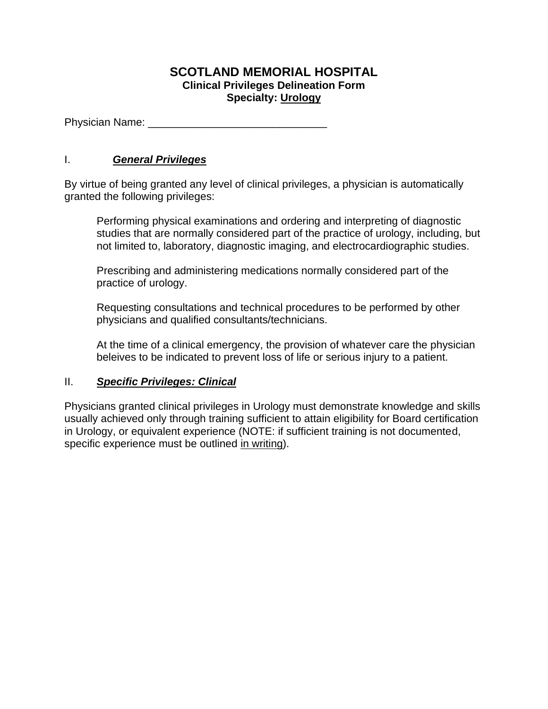## **SCOTLAND MEMORIAL HOSPITAL Clinical Privileges Delineation Form Specialty: Urology**

Physician Name: \_\_\_\_\_\_\_\_\_\_\_\_\_\_\_\_\_\_\_\_\_\_\_\_\_\_\_\_\_\_

## I. *General Privileges*

By virtue of being granted any level of clinical privileges, a physician is automatically granted the following privileges:

Performing physical examinations and ordering and interpreting of diagnostic studies that are normally considered part of the practice of urology, including, but not limited to, laboratory, diagnostic imaging, and electrocardiographic studies.

Prescribing and administering medications normally considered part of the practice of urology.

Requesting consultations and technical procedures to be performed by other physicians and qualified consultants/technicians.

At the time of a clinical emergency, the provision of whatever care the physician beleives to be indicated to prevent loss of life or serious injury to a patient.

## II. *Specific Privileges: Clinical*

Physicians granted clinical privileges in Urology must demonstrate knowledge and skills usually achieved only through training sufficient to attain eligibility for Board certification in Urology, or equivalent experience (NOTE: if sufficient training is not documented, specific experience must be outlined in writing).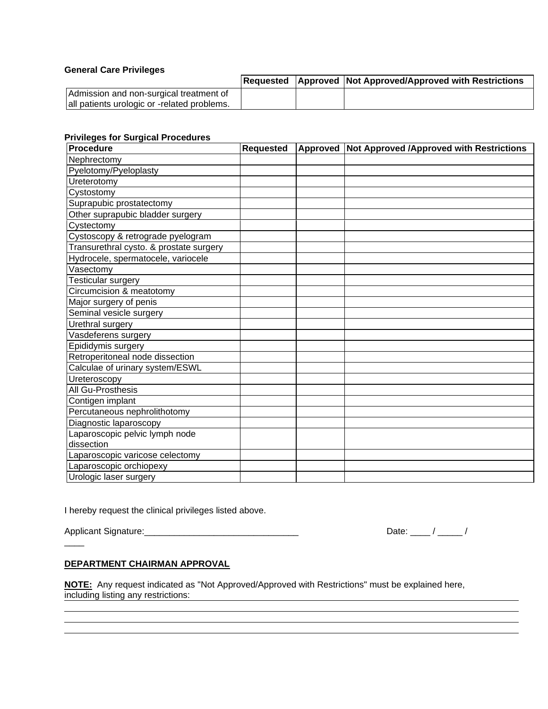#### **General Care Privileges**

|                                             |  | Requested   Approved   Not Approved/Approved with Restrictions |
|---------------------------------------------|--|----------------------------------------------------------------|
| Admission and non-surgical treatment of     |  |                                                                |
| all patients urologic or -related problems. |  |                                                                |

### **Privileges for Surgical Procedures**

| <b>Procedure</b>                        | <b>Requested</b> | Approved Not Approved /Approved with Restrictions |
|-----------------------------------------|------------------|---------------------------------------------------|
| Nephrectomy                             |                  |                                                   |
| Pyelotomy/Pyeloplasty                   |                  |                                                   |
| Ureterotomy                             |                  |                                                   |
| Cystostomy                              |                  |                                                   |
| Suprapubic prostatectomy                |                  |                                                   |
| Other suprapubic bladder surgery        |                  |                                                   |
| Cystectomy                              |                  |                                                   |
| Cystoscopy & retrograde pyelogram       |                  |                                                   |
| Transurethral cysto. & prostate surgery |                  |                                                   |
| Hydrocele, spermatocele, variocele      |                  |                                                   |
| Vasectomy                               |                  |                                                   |
| Testicular surgery                      |                  |                                                   |
| Circumcision & meatotomy                |                  |                                                   |
| Major surgery of penis                  |                  |                                                   |
| Seminal vesicle surgery                 |                  |                                                   |
| Urethral surgery                        |                  |                                                   |
| Vasdeferens surgery                     |                  |                                                   |
| Epididymis surgery                      |                  |                                                   |
| Retroperitoneal node dissection         |                  |                                                   |
| Calculae of urinary system/ESWL         |                  |                                                   |
| Ureteroscopy                            |                  |                                                   |
| All Gu-Prosthesis                       |                  |                                                   |
| Contigen implant                        |                  |                                                   |
| Percutaneous nephrolithotomy            |                  |                                                   |
| Diagnostic laparoscopy                  |                  |                                                   |
| Laparoscopic pelvic lymph node          |                  |                                                   |
| dissection                              |                  |                                                   |
| Laparoscopic varicose celectomy         |                  |                                                   |
| Laparoscopic orchiopexy                 |                  |                                                   |
| Urologic laser surgery                  |                  |                                                   |

I hereby request the clinical privileges listed above.

 $\overline{\phantom{a}}$ 

Applicant Signature:\_\_\_\_\_\_\_\_\_\_\_\_\_\_\_\_\_\_\_\_\_\_\_\_\_\_\_\_\_\_\_ Date: \_\_\_\_ / \_\_\_\_\_ /

#### **DEPARTMENT CHAIRMAN APPROVAL**

**NOTE:** Any request indicated as "Not Approved/Approved with Restrictions" must be explained here, including listing any restrictions: